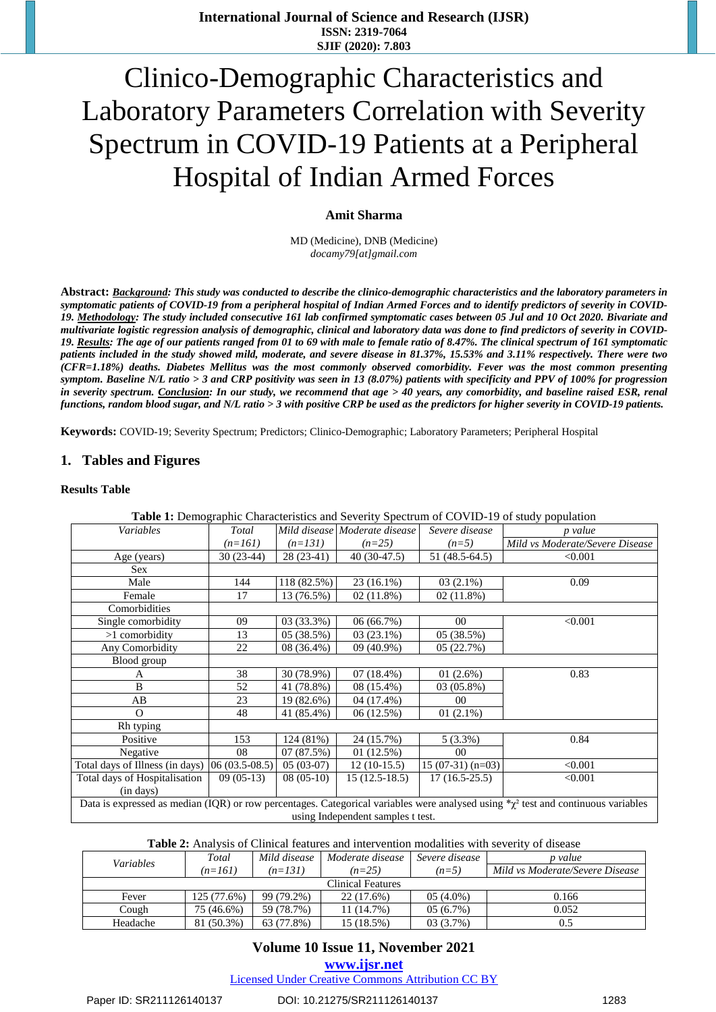# Clinico-Demographic Characteristics and Laboratory Parameters Correlation with Severity Spectrum in COVID-19 Patients at a Peripheral Hospital of Indian Armed Forces

# **Amit Sharma**

MD (Medicine), DNB (Medicine) *[docamy79\[at\]gmail.com](mailto:docamy79@gmail.com)*

Abstract: Background: This study was conducted to describe the clinico-demographic characteristics and the laboratory parameters in symptomatic patients of COVID-19 from a peripheral hospital of Indian Armed Forces and to identify predictors of severity in COVID-19. Methodology: The study included consecutive 161 lab confirmed symptomatic cases between 05 Jul and 10 Oct 2020. Bivariate and multivariate logistic regression analysis of demographic, clinical and laboratory data was done to find predictors of severity in COVID-19. Results: The age of our patients ranged from 01 to 69 with male to female ratio of 8.47%. The clinical spectrum of 161 symptomatic patients included in the study showed mild, moderate, and severe disease in 81.37%, 15.53% and 3.11% respectively. There were two *(CFR=1.18%) deaths. Diabetes Mellitus was the most commonly observed comorbidity. Fever was the most common presenting* symptom. Baseline N/L ratio > 3 and CRP positivity was seen in 13 (8.07%) patients with specificity and PPV of 100% for progression in severity spectrum. Conclusion: In our study, we recommend that age > 40 years, any comorbidity, and baseline raised ESR, renal functions, random blood sugar, and  $N/L$  ratio  $>3$  with positive CRP be used as the predictors for higher severity in COVID-19 patients.

**Keywords:** COVID-19; Severity Spectrum; Predictors; Clinico-Demographic; Laboratory Parameters; Peripheral Hospital

# **1. Tables and Figures**

#### **Results Table**

| <b>Table 1:</b> Demographic Characteristics and Severity Spectrum of COVID-19 of study population                                        |                 |             |                               |                   |                                 |  |
|------------------------------------------------------------------------------------------------------------------------------------------|-----------------|-------------|-------------------------------|-------------------|---------------------------------|--|
| Variables                                                                                                                                | Total           |             | Mild disease Moderate disease | Severe disease    | p value                         |  |
|                                                                                                                                          | $(n=161)$       | $(n=131)$   | $(n=25)$                      | $(n=5)$           | Mild vs Moderate/Severe Disease |  |
| Age (years)                                                                                                                              | $30(23-44)$     | $28(23-41)$ | $40(30-47.5)$                 | 51 (48.5-64.5)    | < 0.001                         |  |
| <b>Sex</b>                                                                                                                               |                 |             |                               |                   |                                 |  |
| Male                                                                                                                                     | 144             | 118 (82.5%) | $23(16.1\%)$                  | $03(2.1\%)$       | 0.09                            |  |
| Female                                                                                                                                   | 17              | 13 (76.5%)  | $02(11.8\%)$                  | $02(11.8\%)$      |                                 |  |
| Comorbidities                                                                                                                            |                 |             |                               |                   |                                 |  |
| Single comorbidity                                                                                                                       | 09              | 03 (33.3%)  | 06 (66.7%)                    | $00\,$            | < 0.001                         |  |
| >1 comorbidity                                                                                                                           | 13              | 05 (38.5%)  | $03(23.1\%)$                  | 05 (38.5%)        |                                 |  |
| Any Comorbidity                                                                                                                          | 22              | 08 (36.4%)  | $09(40.9\%)$                  | 05(22.7%)         |                                 |  |
| Blood group                                                                                                                              |                 |             |                               |                   |                                 |  |
| A                                                                                                                                        | 38              | 30 (78.9%)  | $07(18.4\%)$                  | 01(2.6%)          | 0.83                            |  |
| B                                                                                                                                        | 52              | 41 (78.8%)  | 08 (15.4%)                    | 03 (05.8%)        |                                 |  |
| AB                                                                                                                                       | 23              | 19 (82.6%)  | 04 (17.4%)                    | 00 <sup>1</sup>   |                                 |  |
| $\Omega$                                                                                                                                 | 48              | 41 (85.4%)  | 06(12.5%)                     | $01(2.1\%)$       |                                 |  |
| Rh typing                                                                                                                                |                 |             |                               |                   |                                 |  |
| Positive                                                                                                                                 | 153             | 124 (81%)   | 24 (15.7%)                    | $5(3.3\%)$        | 0.84                            |  |
| Negative                                                                                                                                 | 08              | 07(87.5%)   | 01(12.5%)                     | $00\,$            |                                 |  |
| Total days of Illness (in days)                                                                                                          | $06(03.5-08.5)$ | $05(03-07)$ | $12(10-15.5)$                 | $15(07-31)(n=03)$ | < 0.001                         |  |
| Total days of Hospitalisation                                                                                                            | $09(05-13)$     | $08(05-10)$ | $15(12.5-18.5)$               | $17(16.5-25.5)$   | < 0.001                         |  |
| (in days)                                                                                                                                |                 |             |                               |                   |                                 |  |
| Data is expressed as median (IQR) or row percentages. Categorical variables were analysed using $\alpha^2$ test and continuous variables |                 |             |                               |                   |                                 |  |
| using Independent samples t test.                                                                                                        |                 |             |                               |                   |                                 |  |

#### **Table 1:** Demographic Characteristics and Severity Spectrum of COVID-19 of study population

**Table 2:** Analysis of Clinical features and intervention modalities with severity of disease

| <i>Variables</i>         | Total       | Mild disease | Moderate disease | Severe disease | p value                         |  |
|--------------------------|-------------|--------------|------------------|----------------|---------------------------------|--|
|                          | $(n=161)$   | $(n=131)$    | $(n=25)$         | $(n=5)$        | Mild vs Moderate/Severe Disease |  |
| <b>Clinical Features</b> |             |              |                  |                |                                 |  |
| Fever                    | 125 (77.6%) | 99 (79.2%)   | 22 (17.6%)       | $05(4.0\%)$    | 0.166                           |  |
| Cough                    | 75 (46.6%)  | 59 (78.7%)   | 11 (14.7%)       | $05(6.7\%)$    | 0.052                           |  |
| Headache                 | 81 (50.3%)  | 63 (77.8%)   | 15 (18.5%)       | $03(3.7\%)$    | 0.5                             |  |

# **Volume 10 Issue 11, November 2021**

**www.ijsr.net**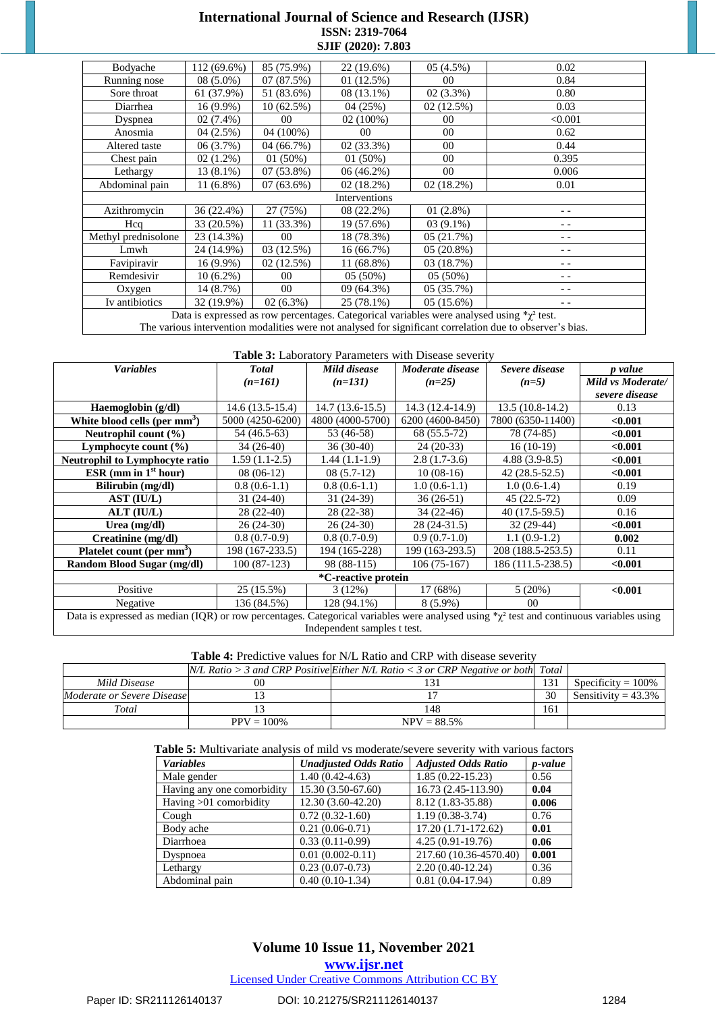# **International Journal of Science and Research (IJSR) ISSN: 2319-7064 SJIF (2020): 7.803**

| Bodyache                                                                                                  | 112 (69.6%) | 85 (75.9%)   | 22 (19.6%)   | 05(4.5%)     | 0.02    |  |
|-----------------------------------------------------------------------------------------------------------|-------------|--------------|--------------|--------------|---------|--|
| Running nose                                                                                              | $08(5.0\%)$ | 07(87.5%)    | 01(12.5%)    | 00           | 0.84    |  |
| Sore throat                                                                                               | 61 (37.9%)  | 51 (83.6%)   | 08 (13.1%)   | 02(3.3%)     | 0.80    |  |
| Diarrhea                                                                                                  | $16(9.9\%)$ | 10 (62.5%)   | 04 (25%)     | 02(12.5%)    | 0.03    |  |
| Dyspnea                                                                                                   | $02(7.4\%)$ | 00           | $02(100\%)$  | $00\,$       | < 0.001 |  |
| Anosmia                                                                                                   | 04(2.5%)    | 04 (100%)    | $00\,$       | $00\,$       | 0.62    |  |
| Altered taste                                                                                             | 06 (3.7%)   | 04 (66.7%)   | 02 (33.3%)   | $00\,$       | 0.44    |  |
| Chest pain                                                                                                | $02(1.2\%)$ | $01(50\%)$   | 01(50%)      | $00\,$       | 0.395   |  |
| Lethargy                                                                                                  | 13 (8.1%)   | $07(53.8\%)$ | $06(46.2\%)$ | $00\,$       | 0.006   |  |
| Abdominal pain                                                                                            | 11 (6.8%)   | $07(63.6\%)$ | $02(18.2\%)$ | $02(18.2\%)$ | 0.01    |  |
| Interventions                                                                                             |             |              |              |              |         |  |
| Azithromycin                                                                                              | 36 (22.4%)  | 27 (75%)     | $08(22.2\%)$ | $01(2.8\%)$  |         |  |
| Hcq                                                                                                       | 33 (20.5%)  | 11 (33.3%)   | 19 (57.6%)   | $03(9.1\%)$  |         |  |
| Methyl prednisolone                                                                                       | 23 (14.3%)  | $00\,$       | 18 (78.3%)   | 05(21.7%)    |         |  |
| Lmwh                                                                                                      | 24 (14.9%)  | 03 (12.5%)   | 16 (66.7%)   | $05(20.8\%)$ | $ -$    |  |
| Favipiravir                                                                                               | $16(9.9\%)$ | 02(12.5%)    | 11 (68.8%)   | 03 (18.7%)   |         |  |
| Remdesivir                                                                                                | $10(6.2\%)$ | 00           | $05(50\%)$   | $05(50\%)$   |         |  |
| Oxygen                                                                                                    | 14 (8.7%)   | $00\,$       | 09 (64.3%)   | 05(35.7%)    |         |  |
| Iv antibiotics                                                                                            | 32 (19.9%)  | $02(6.3\%)$  | 25 (78.1%)   | 05(15.6%)    | - -     |  |
| Data is expressed as row percentages. Categorical variables were analysed using $\chi^2$ test.            |             |              |              |              |         |  |
| The various intervention modalities were not analysed for significant correlation due to observer's bias. |             |              |              |              |         |  |

#### **Table 3:** Laboratory Parameters with Disease severity

| <b>Variables</b>                                                                                                                                  | <b>Total</b>      | Mild disease      | Moderate disease | Severe disease    | p value           |  |
|---------------------------------------------------------------------------------------------------------------------------------------------------|-------------------|-------------------|------------------|-------------------|-------------------|--|
|                                                                                                                                                   | $(n=161)$         | $(n=131)$         | $(n=25)$         | $(n=5)$           | Mild vs Moderate/ |  |
|                                                                                                                                                   |                   |                   |                  |                   | severe disease    |  |
| Haemoglobin (g/dl)                                                                                                                                | $14.6(13.5-15.4)$ | $14.7(13.6-15.5)$ | 14.3 (12.4-14.9) | 13.5 (10.8-14.2)  | 0.13              |  |
| White blood cells (per mm <sup>3</sup> )                                                                                                          | 5000 (4250-6200)  | 4800 (4000-5700)  | 6200 (4600-8450) | 7800 (6350-11400) | < 0.001           |  |
| Neutrophil count $(\% )$                                                                                                                          | 54 (46.5-63)      | 53 (46-58)        | 68 (55.5-72)     | 78 (74-85)        | < 0.001           |  |
| Lymphocyte count (%)                                                                                                                              | $34(26-40)$       | $36(30-40)$       | $24(20-33)$      | $16(10-19)$       | < 0.001           |  |
| <b>Neutrophil to Lymphocyte ratio</b>                                                                                                             | $1.59(1.1-2.5)$   | $1.44(1.1-1.9)$   | $2.8(1.7-3.6)$   | $4.88(3.9-8.5)$   | < 0.001           |  |
| ESR (mm in $1st hour$ )                                                                                                                           | $08(06-12)$       | $08(5.7-12)$      | $10(08-16)$      | $42(28.5-52.5)$   | < 0.001           |  |
| Bilirubin (mg/dl)                                                                                                                                 | $0.8(0.6-1.1)$    | $0.8(0.6-1.1)$    | $1.0(0.6-1.1)$   | $1.0(0.6-1.4)$    | 0.19              |  |
| AST (IU/L)                                                                                                                                        | $31(24-40)$       | $31(24-39)$       | $36(26-51)$      | $45(22.5-72)$     | 0.09              |  |
| ALT (IU/L)                                                                                                                                        | 28 (22-40)        | $28(22-38)$       | $34(22-46)$      | 40 (17.5-59.5)    | 0.16              |  |
| Urea $(mg/dl)$                                                                                                                                    | $26(24-30)$       | $26(24-30)$       | 28 (24-31.5)     | $32(29-44)$       | < 0.001           |  |
| Creatinine (mg/dl)                                                                                                                                | $0.8(0.7-0.9)$    | $0.8(0.7-0.9)$    | $0.9(0.7-1.0)$   | $1.1(0.9-1.2)$    | 0.002             |  |
| Platelet count (per mm <sup>3</sup> )                                                                                                             | 198 (167-233.5)   | 194 (165-228)     | 199 (163-293.5)  | 208 (188.5-253.5) | 0.11              |  |
| Random Blood Sugar (mg/dl)                                                                                                                        | $100(87-123)$     | 98 (88-115)       | $106(75-167)$    | 186 (111.5-238.5) | < 0.001           |  |
| *C-reactive protein                                                                                                                               |                   |                   |                  |                   |                   |  |
| Positive                                                                                                                                          | 25 (15.5%)        | 3(12%)            | 17 (68%)         | 5(20%)            | < 0.001           |  |
| Negative                                                                                                                                          | 136 (84.5%)       | $128(94.1\%)$     | $8(5.9\%)$       | 00 <sup>2</sup>   |                   |  |
| Data is expressed as median (IQR) or row percentages. Categorical variables were analysed using $\sqrt[k]{2}$ test and continuous variables using |                   |                   |                  |                   |                   |  |
| Independent samples t test.                                                                                                                       |                   |                   |                  |                   |                   |  |

| <b>Table 4:</b> Predictive values for N/L Ratio and CRP with disease severity |  |  |  |
|-------------------------------------------------------------------------------|--|--|--|
|-------------------------------------------------------------------------------|--|--|--|

|                            |              | $N/L$ Ratio > 3 and CRP Positive Either N/L Ratio < 3 or CRP Negative or both Total |     |                        |
|----------------------------|--------------|-------------------------------------------------------------------------------------|-----|------------------------|
| Mild Disease               | 00           |                                                                                     | 131 | Specificity = $100\%$  |
| Moderate or Severe Disease |              |                                                                                     | 30  | Sensitivity = $43.3\%$ |
| Total                      |              | 148                                                                                 | 161 |                        |
|                            | $PPV = 100%$ | $NPV = 88.5%$                                                                       |     |                        |

**Table 5:** Multivariate analysis of mild vs moderate/severe severity with various factors

| <b>Variables</b>           | <b>Unadjusted Odds Ratio</b> | <b>Adjusted Odds Ratio</b> | <i>p</i> -value |
|----------------------------|------------------------------|----------------------------|-----------------|
| Male gender                | $1.40(0.42 - 4.63)$          | $1.85(0.22 - 15.23)$       | 0.56            |
| Having any one comorbidity | 15.30 (3.50-67.60)           | 16.73 (2.45-113.90)        | 0.04            |
| Having $>01$ comorbidity   | 12.30 (3.60-42.20)           | 8.12 (1.83-35.88)          | 0.006           |
| Cough                      | $0.72(0.32-1.60)$            | $1.19(0.38-3.74)$          | 0.76            |
| Body ache                  | $0.21(0.06-0.71)$            | 17.20 (1.71-172.62)        | 0.01            |
| Diarrhoea                  | $0.33(0.11-0.99)$            | $4.25(0.91-19.76)$         | 0.06            |
| Dyspnoea                   | $0.01(0.002 - 0.11)$         | 217.60 (10.36-4570.40)     | 0.001           |
| Lethargy                   | $0.23(0.07-0.73)$            | $2.20(0.40-12.24)$         | 0.36            |
| Abdominal pain             | $0.40(0.10-1.34)$            | $0.81(0.04-17.94)$         | 0.89            |

# **Volume 10 Issue 11, November 2021**

**www.ijsr.net**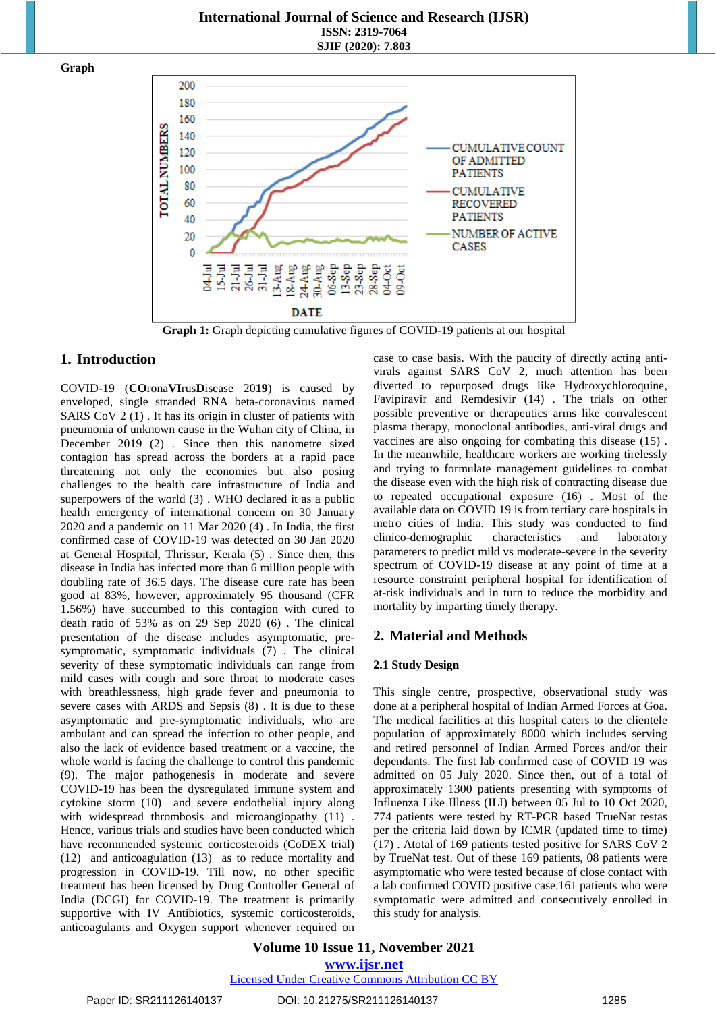# **International Journal of Science and Research (IJSR) ISSN: 2319-7064 SJIF (2020): 7.803**

**Graph**



**Graph 1:** Graph depicting cumulative figures of COVID-19 patients at our hospital

# **1. Introduction**

COVID-19 (**CO**rona**VI**rus**D**isease 20**19**) is caused by enveloped, single stranded RNA beta-coronavirus named SARS CoV 2 (1) . It has its origin in cluster of patients with pneumonia of unknown cause in the Wuhan city of China, in December 2019 (2) . Since then this nanometre sized contagion has spread across the borders at a rapid pace threatening not only the economies but also posing challenges to the health care infrastructure of India and superpowers of the world (3) . WHO declared it as a public health emergency of international concern on 30 January 2020 and a pandemic on 11 Mar 2020 (4) . In India, the first confirmed case of COVID-19 was detected on 30 Jan 2020 at General Hospital, Thrissur, Kerala (5) . Since then, this disease in India has infected more than 6 million people with doubling rate of 36.5 days. The disease cure rate has been good at 83%, however, approximately 95 thousand (CFR 1.56%) have succumbed to this contagion with cured to death ratio of 53% as on 29 Sep 2020 (6) . The clinical presentation of the disease includes asymptomatic, presymptomatic, symptomatic individuals (7) . The clinical severity of these symptomatic individuals can range from mild cases with cough and sore throat to moderate cases with breathlessness, high grade fever and pneumonia to severe cases with ARDS and Sepsis (8) . It is due to these asymptomatic and pre-symptomatic individuals, who are ambulant and can spread the infection to other people, and also the lack of evidence based treatment or a vaccine, the whole world is facing the challenge to control this pandemic (9). The major pathogenesis in moderate and severe COVID-19 has been the dysregulated immune system and cytokine storm (10) and severe endothelial injury along with widespread thrombosis and microangiopathy  $(11)$ . Hence, various trials and studies have been conducted which have recommended systemic corticosteroids (CoDEX trial) (12) and anticoagulation (13) as to reduce mortality and progression in COVID-19. Till now, no other specific treatment has been licensed by Drug Controller General of India (DCGI) for COVID-19. The treatment is primarily supportive with IV Antibiotics, systemic corticosteroids, anticoagulants and Oxygen support whenever required on

case to case basis. With the paucity of directly acting antivirals against SARS CoV 2, much attention has been diverted to repurposed drugs like Hydroxychloroquine, Favipiravir and Remdesivir (14) . The trials on other possible preventive or therapeutics arms like convalescent plasma therapy, monoclonal antibodies, anti-viral drugs and vaccines are also ongoing for combating this disease (15) . In the meanwhile, healthcare workers are working tirelessly and trying to formulate management guidelines to combat the disease even with the high risk of contracting disease due to repeated occupational exposure (16) . Most of the available data on COVID 19 is from tertiary care hospitals in metro cities of India. This study was conducted to find clinico-demographic characteristics and laboratory parameters to predict mild vs moderate-severe in the severity spectrum of COVID-19 disease at any point of time at a resource constraint peripheral hospital for identification of at-risk individuals and in turn to reduce the morbidity and mortality by imparting timely therapy.

# **2. Material and Methods**

### **2.1 Study Design**

This single centre, prospective, observational study was done at a peripheral hospital of Indian Armed Forces at Goa. The medical facilities at this hospital caters to the clientele population of approximately 8000 which includes serving and retired personnel of Indian Armed Forces and/or their dependants. The first lab confirmed case of COVID 19 was admitted on 05 July 2020. Since then, out of a total of approximately 1300 patients presenting with symptoms of Influenza Like Illness (ILI) between 05 Jul to 10 Oct 2020, 774 patients were tested by RT-PCR based TrueNat testas per the criteria laid down by ICMR (updated time to time) (17) . Atotal of 169 patients tested positive for SARS CoV 2 by TrueNat test. Out of these 169 patients, 08 patients were asymptomatic who were tested because of close contact with a lab confirmed COVID positive case.161 patients who were symptomatic were admitted and consecutively enrolled in this study for analysis.

**Volume 10 Issue 11, November 2021 www.ijsr.net**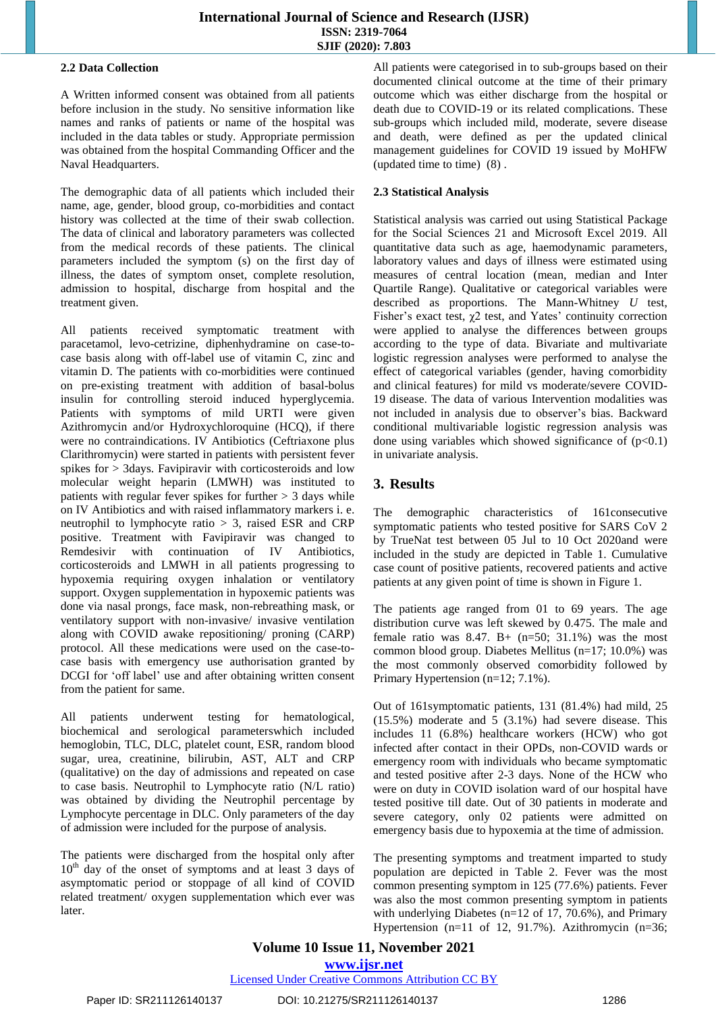## **2.2 Data Collection**

A Written informed consent was obtained from all patients before inclusion in the study. No sensitive information like names and ranks of patients or name of the hospital was included in the data tables or study. Appropriate permission was obtained from the hospital Commanding Officer and the Naval Headquarters.

The demographic data of all patients which included their name, age, gender, blood group, co-morbidities and contact history was collected at the time of their swab collection. The data of clinical and laboratory parameters was collected from the medical records of these patients. The clinical parameters included the symptom (s) on the first day of illness, the dates of symptom onset, complete resolution, admission to hospital, discharge from hospital and the treatment given.

All patients received symptomatic treatment with paracetamol, levo-cetrizine, diphenhydramine on case-tocase basis along with off-label use of vitamin C, zinc and vitamin D. The patients with co-morbidities were continued on pre-existing treatment with addition of basal-bolus insulin for controlling steroid induced hyperglycemia. Patients with symptoms of mild URTI were given Azithromycin and/or Hydroxychloroquine (HCQ), if there were no contraindications. IV Antibiotics (Ceftriaxone plus Clarithromycin) were started in patients with persistent fever spikes for > 3days. Favipiravir with corticosteroids and low molecular weight heparin (LMWH) was instituted to patients with regular fever spikes for further  $> 3$  days while on IV Antibiotics and with raised inflammatory markers i. e. neutrophil to lymphocyte ratio > 3, raised ESR and CRP positive. Treatment with Favipiravir was changed to Remdesivir with continuation of IV Antibiotics, corticosteroids and LMWH in all patients progressing to hypoxemia requiring oxygen inhalation or ventilatory support. Oxygen supplementation in hypoxemic patients was done via nasal prongs, face mask, non-rebreathing mask, or ventilatory support with non-invasive/ invasive ventilation along with COVID awake repositioning/ proning (CARP) protocol. All these medications were used on the case-tocase basis with emergency use authorisation granted by DCGI for 'off label' use and after obtaining written consent from the patient for same.

All patients underwent testing for hematological, biochemical and serological parameterswhich included hemoglobin, TLC, DLC, platelet count, ESR, random blood sugar, urea, creatinine, bilirubin, AST, ALT and CRP (qualitative) on the day of admissions and repeated on case to case basis. Neutrophil to Lymphocyte ratio (N/L ratio) was obtained by dividing the Neutrophil percentage by Lymphocyte percentage in DLC. Only parameters of the day of admission were included for the purpose of analysis.

The patients were discharged from the hospital only after  $10<sup>th</sup>$  day of the onset of symptoms and at least 3 days of asymptomatic period or stoppage of all kind of COVID related treatment/ oxygen supplementation which ever was later.

All patients were categorised in to sub-groups based on their documented clinical outcome at the time of their primary outcome which was either discharge from the hospital or death due to COVID-19 or its related complications. These sub-groups which included mild, moderate, severe disease and death, were defined as per the updated clinical management guidelines for COVID 19 issued by MoHFW (updated time to time) (8) .

# **2.3 Statistical Analysis**

Statistical analysis was carried out using Statistical Package for the Social Sciences 21 and Microsoft Excel 2019. All quantitative data such as age, haemodynamic parameters, laboratory values and days of illness were estimated using measures of central location (mean, median and Inter Quartile Range). Qualitative or categorical variables were described as proportions. The Mann-Whitney *U* test, Fisher's exact test, χ2 test, and Yates' continuity correction were applied to analyse the differences between groups according to the type of data. Bivariate and multivariate logistic regression analyses were performed to analyse the effect of categorical variables (gender, having comorbidity and clinical features) for mild vs moderate/severe COVID-19 disease. The data of various Intervention modalities was not included in analysis due to observer's bias. Backward conditional multivariable logistic regression analysis was done using variables which showed significance of  $(p<0.1)$ in univariate analysis.

# **3. Results**

The demographic characteristics of 161consecutive symptomatic patients who tested positive for SARS CoV 2 by TrueNat test between 05 Jul to 10 Oct 2020and were included in the study are depicted in Table 1. Cumulative case count of positive patients, recovered patients and active patients at any given point of time is shown in Figure 1.

The patients age ranged from 01 to 69 years. The age distribution curve was left skewed by 0.475. The male and female ratio was  $8.47$ . B+ (n=50; 31.1%) was the most common blood group. Diabetes Mellitus (n=17; 10.0%) was the most commonly observed comorbidity followed by Primary Hypertension (n=12; 7.1%).

Out of 161symptomatic patients, 131 (81.4%) had mild, 25  $(15.5\%)$  moderate and  $\frac{1}{5}$   $(3.1\%)$  had severe disease. This includes 11 (6.8%) healthcare workers (HCW) who got infected after contact in their OPDs, non-COVID wards or emergency room with individuals who became symptomatic and tested positive after 2-3 days. None of the HCW who were on duty in COVID isolation ward of our hospital have tested positive till date. Out of 30 patients in moderate and severe category, only 02 patients were admitted on emergency basis due to hypoxemia at the time of admission.

The presenting symptoms and treatment imparted to study population are depicted in Table 2. Fever was the most common presenting symptom in 125 (77.6%) patients. Fever was also the most common presenting symptom in patients with underlying Diabetes (n=12 of 17, 70.6%), and Primary Hypertension (n=11 of 12, 91.7%). Azithromycin (n=36;

# **Volume 10 Issue 11, November 2021 www.ijsr.net**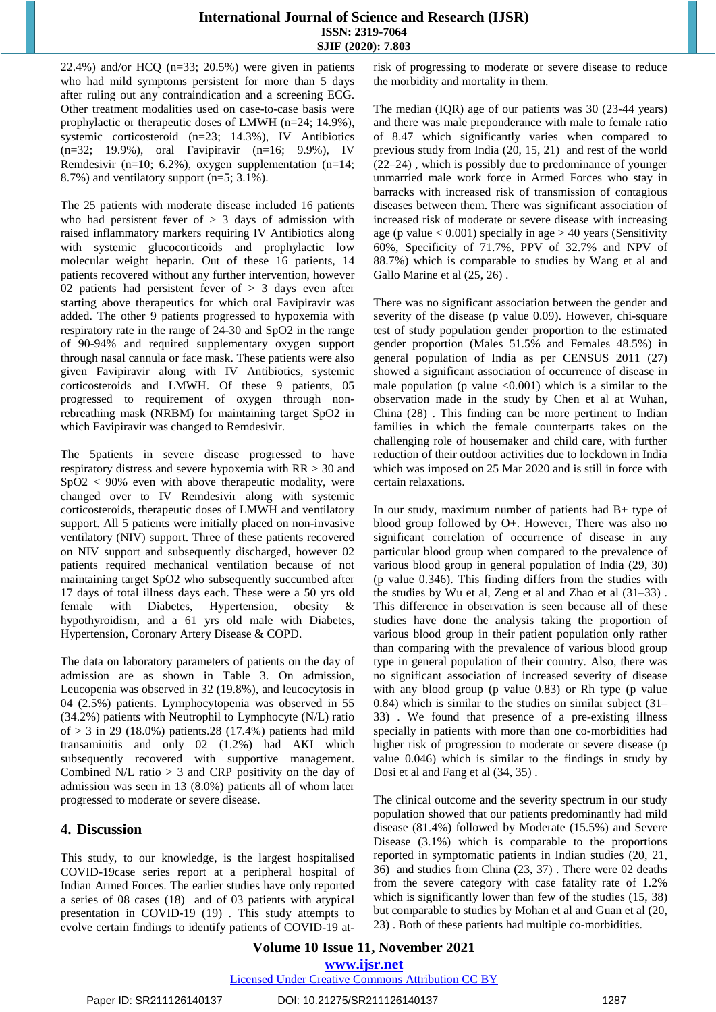# **International Journal of Science and Research (IJSR) ISSN: 2319-7064 SJIF (2020): 7.803**

22.4%) and/or HCQ ( $n=33$ ; 20.5%) were given in patients who had mild symptoms persistent for more than 5 days after ruling out any contraindication and a screening ECG. Other treatment modalities used on case-to-case basis were prophylactic or therapeutic doses of LMWH (n=24; 14.9%), systemic corticosteroid (n=23; 14.3%), IV Antibiotics (n=32; 19.9%), oral Favipiravir (n=16; 9.9%), IV Remdesivir (n=10; 6.2%), oxygen supplementation (n=14; 8.7%) and ventilatory support (n=5; 3.1%).

The 25 patients with moderate disease included 16 patients who had persistent fever of  $> 3$  days of admission with raised inflammatory markers requiring IV Antibiotics along with systemic glucocorticoids and prophylactic low molecular weight heparin. Out of these 16 patients, 14 patients recovered without any further intervention, however 02 patients had persistent fever of > 3 days even after starting above therapeutics for which oral Favipiravir was added. The other 9 patients progressed to hypoxemia with respiratory rate in the range of 24-30 and SpO2 in the range of 90-94% and required supplementary oxygen support through nasal cannula or face mask. These patients were also given Favipiravir along with IV Antibiotics, systemic corticosteroids and LMWH. Of these 9 patients, 05 progressed to requirement of oxygen through nonrebreathing mask (NRBM) for maintaining target SpO2 in which Favipiravir was changed to Remdesivir.

The 5patients in severe disease progressed to have respiratory distress and severe hypoxemia with RR > 30 and  $SpO2 < 90\%$  even with above therapeutic modality, were changed over to IV Remdesivir along with systemic corticosteroids, therapeutic doses of LMWH and ventilatory support. All 5 patients were initially placed on non-invasive ventilatory (NIV) support. Three of these patients recovered on NIV support and subsequently discharged, however 02 patients required mechanical ventilation because of not maintaining target SpO2 who subsequently succumbed after 17 days of total illness days each. These were a 50 yrs old female with Diabetes, Hypertension, obesity hypothyroidism, and a 61 yrs old male with Diabetes, Hypertension, Coronary Artery Disease & COPD.

The data on laboratory parameters of patients on the day of admission are as shown in Table 3. On admission, Leucopenia was observed in 32 (19.8%), and leucocytosis in 04 (2.5%) patients. Lymphocytopenia was observed in 55 (34.2%) patients with Neutrophil to Lymphocyte (N/L) ratio of  $>$  3 in 29 (18.0%) patients.28 (17.4%) patients had mild transaminitis and only 02 (1.2%) had AKI which subsequently recovered with supportive management. Combined N/L ratio > 3 and CRP positivity on the day of admission was seen in 13 (8.0%) patients all of whom later progressed to moderate or severe disease.

# **4. Discussion**

This study, to our knowledge, is the largest hospitalised COVID-19case series report at a peripheral hospital of Indian Armed Forces. The earlier studies have only reported a series of 08 cases (18) and of 03 patients with atypical presentation in COVID-19 (19) . This study attempts to evolve certain findings to identify patients of COVID-19 atrisk of progressing to moderate or severe disease to reduce the morbidity and mortality in them.

The median (IQR) age of our patients was 30 (23-44 years) and there was male preponderance with male to female ratio of 8.47 which significantly varies when compared to previous study from India (20, 15, 21) and rest of the world (22–24) , which is possibly due to predominance of younger unmarried male work force in Armed Forces who stay in barracks with increased risk of transmission of contagious diseases between them. There was significant association of increased risk of moderate or severe disease with increasing age (p value  $< 0.001$ ) specially in age  $> 40$  years (Sensitivity 60%, Specificity of 71.7%, PPV of 32.7% and NPV of 88.7%) which is comparable to studies by Wang et al and Gallo Marine et al  $(25, 26)$ .

There was no significant association between the gender and severity of the disease (p value 0.09). However, chi-square test of study population gender proportion to the estimated gender proportion (Males 51.5% and Females 48.5%) in general population of India as per CENSUS 2011 (27) showed a significant association of occurrence of disease in male population (p value  $\leq 0.001$ ) which is a similar to the observation made in the study by Chen et al at Wuhan, China (28) . This finding can be more pertinent to Indian families in which the female counterparts takes on the challenging role of housemaker and child care, with further reduction of their outdoor activities due to lockdown in India which was imposed on 25 Mar 2020 and is still in force with certain relaxations.

In our study, maximum number of patients had  $B+$  type of blood group followed by O+. However, There was also no significant correlation of occurrence of disease in any particular blood group when compared to the prevalence of various blood group in general population of India (29, 30) (p value 0.346). This finding differs from the studies with the studies by Wu et al, Zeng et al and Zhao et al (31–33) . This difference in observation is seen because all of these studies have done the analysis taking the proportion of various blood group in their patient population only rather than comparing with the prevalence of various blood group type in general population of their country. Also, there was no significant association of increased severity of disease with any blood group (p value 0.83) or Rh type (p value 0.84) which is similar to the studies on similar subject (31– 33) . We found that presence of a pre-existing illness specially in patients with more than one co-morbidities had higher risk of progression to moderate or severe disease (p value 0.046) which is similar to the findings in study by Dosi et al and Fang et al (34, 35) .

The clinical outcome and the severity spectrum in our study population showed that our patients predominantly had mild disease (81.4%) followed by Moderate (15.5%) and Severe Disease (3.1%) which is comparable to the proportions reported in symptomatic patients in Indian studies (20, 21, 36) and studies from China (23, 37) . There were 02 deaths from the severe category with case fatality rate of 1.2% which is significantly lower than few of the studies  $(15, 38)$ but comparable to studies by Mohan et al and Guan et al (20, 23) . Both of these patients had multiple co-morbidities.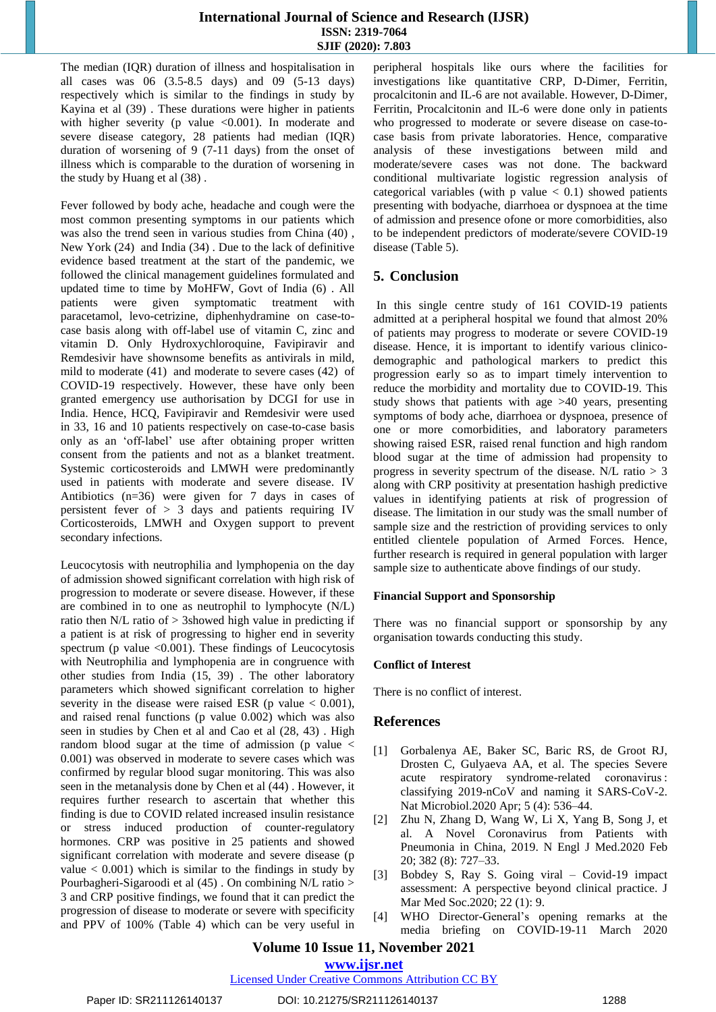The median (IQR) duration of illness and hospitalisation in all cases was 06 (3.5-8.5 days) and 09 (5-13 days) respectively which is similar to the findings in study by Kayina et al (39) . These durations were higher in patients with higher severity (p value  $< 0.001$ ). In moderate and severe disease category, 28 patients had median (IQR) duration of worsening of 9 (7-11 days) from the onset of illness which is comparable to the duration of worsening in the study by Huang et al (38) .

Fever followed by body ache, headache and cough were the most common presenting symptoms in our patients which was also the trend seen in various studies from China (40) , New York (24) and India (34) . Due to the lack of definitive evidence based treatment at the start of the pandemic, we followed the clinical management guidelines formulated and updated time to time by MoHFW, Govt of India (6) . All patients were given symptomatic treatment with paracetamol, levo-cetrizine, diphenhydramine on case-tocase basis along with off-label use of vitamin C, zinc and vitamin D. Only Hydroxychloroquine, Favipiravir and Remdesivir have shownsome benefits as antivirals in mild, mild to moderate (41) and moderate to severe cases (42) of COVID-19 respectively. However, these have only been granted emergency use authorisation by DCGI for use in India. Hence, HCQ, Favipiravir and Remdesivir were used in 33, 16 and 10 patients respectively on case-to-case basis only as an 'off-label' use after obtaining proper written consent from the patients and not as a blanket treatment. Systemic corticosteroids and LMWH were predominantly used in patients with moderate and severe disease. IV Antibiotics (n=36) were given for 7 days in cases of persistent fever of  $> 3$  days and patients requiring IV Corticosteroids, LMWH and Oxygen support to prevent secondary infections.

Leucocytosis with neutrophilia and lymphopenia on the day of admission showed significant correlation with high risk of progression to moderate or severe disease. However, if these are combined in to one as neutrophil to lymphocyte (N/L) ratio then N/L ratio of > 3showed high value in predicting if a patient is at risk of progressing to higher end in severity spectrum (p value  $< 0.001$ ). These findings of Leucocytosis with Neutrophilia and lymphopenia are in congruence with other studies from India (15, 39) . The other laboratory parameters which showed significant correlation to higher severity in the disease were raised ESR (p value  $< 0.001$ ), and raised renal functions (p value 0.002) which was also seen in studies by Chen et al and Cao et al (28, 43) . High random blood sugar at the time of admission (p value  $\leq$ 0.001) was observed in moderate to severe cases which was confirmed by regular blood sugar monitoring. This was also seen in the metanalysis done by Chen et al (44) . However, it requires further research to ascertain that whether this finding is due to COVID related increased insulin resistance or stress induced production of counter-regulatory hormones. CRP was positive in 25 patients and showed significant correlation with moderate and severe disease (p value  $< 0.001$ ) which is similar to the findings in study by Pourbagheri-Sigaroodi et al (45) . On combining N/L ratio > 3 and CRP positive findings, we found that it can predict the progression of disease to moderate or severe with specificity and PPV of 100% (Table 4) which can be very useful in peripheral hospitals like ours where the facilities for investigations like quantitative CRP, D-Dimer, Ferritin, procalcitonin and IL-6 are not available. However, D-Dimer, Ferritin, Procalcitonin and IL-6 were done only in patients who progressed to moderate or severe disease on case-tocase basis from private laboratories. Hence, comparative analysis of these investigations between mild and moderate/severe cases was not done. The backward conditional multivariate logistic regression analysis of categorical variables (with p value  $< 0.1$ ) showed patients presenting with bodyache, diarrhoea or dyspnoea at the time of admission and presence ofone or more comorbidities, also to be independent predictors of moderate/severe COVID-19 disease (Table 5).

# **5. Conclusion**

In this single centre study of 161 COVID-19 patients admitted at a peripheral hospital we found that almost 20% of patients may progress to moderate or severe COVID-19 disease. Hence, it is important to identify various clinicodemographic and pathological markers to predict this progression early so as to impart timely intervention to reduce the morbidity and mortality due to COVID-19. This study shows that patients with age >40 years, presenting symptoms of body ache, diarrhoea or dyspnoea, presence of one or more comorbidities, and laboratory parameters showing raised ESR, raised renal function and high random blood sugar at the time of admission had propensity to progress in severity spectrum of the disease.  $N/L$  ratio  $> 3$ along with CRP positivity at presentation hashigh predictive values in identifying patients at risk of progression of disease. The limitation in our study was the small number of sample size and the restriction of providing services to only entitled clientele population of Armed Forces. Hence, further research is required in general population with larger sample size to authenticate above findings of our study.

# **Financial Support and Sponsorship**

There was no financial support or sponsorship by any organisation towards conducting this study.

## **Conflict of Interest**

There is no conflict of interest.

# **References**

- [1] Gorbalenya AE, Baker SC, Baric RS, de Groot RJ, Drosten C, Gulyaeva AA, et al. The species Severe acute respiratory syndrome-related coronavirus : classifying 2019-nCoV and naming it SARS-CoV-2. Nat Microbiol.2020 Apr; 5 (4): 536–44.
- [2] Zhu N, Zhang D, Wang W, Li X, Yang B, Song J, et al. A Novel Coronavirus from Patients with Pneumonia in China, 2019. N Engl J Med.2020 Feb 20; 382 (8): 727–33.
- [3] Bobdey S, Ray S. Going viral Covid-19 impact assessment: A perspective beyond clinical practice. J Mar Med Soc.2020; 22 (1): 9.
- [4] WHO Director-General's opening remarks at the media briefing on COVID-19-11 March 2020

# **Volume 10 Issue 11, November 2021**

**www.ijsr.net**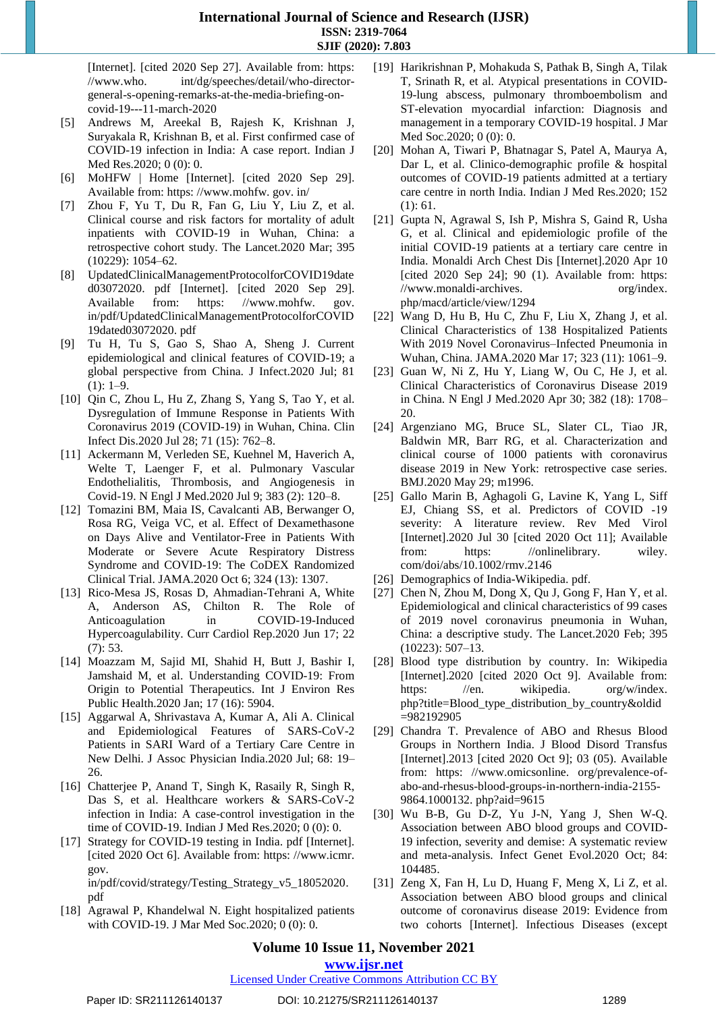[Internet]. [cited 2020 Sep 27]. Available from: https: //www.who. int/dg/speeches/detail/who-directorgeneral-s-opening-remarks-at-the-media-briefing-oncovid-19---11-march-2020

- [5] Andrews M, Areekal B, Rajesh K, Krishnan J, Suryakala R, Krishnan B, et al. First confirmed case of COVID-19 infection in India: A case report. Indian J Med Res.2020; 0 (0): 0.
- [6] MoHFW | Home [Internet]. [cited 2020 Sep 29]. Available from: https: //www.mohfw. gov. in/
- [7] Zhou F, Yu T, Du R, Fan G, Liu Y, Liu Z, et al. Clinical course and risk factors for mortality of adult inpatients with COVID-19 in Wuhan, China: a retrospective cohort study. The Lancet.2020 Mar; 395 (10229): 1054–62.
- [8] UpdatedClinicalManagementProtocolforCOVID19date d03072020. pdf [Internet]. [cited 2020 Sep 29]. Available from: https: //www.mohfw. gov. in/pdf/UpdatedClinicalManagementProtocolforCOVID 19dated03072020. pdf
- [9] Tu H, Tu S, Gao S, Shao A, Sheng J. Current epidemiological and clinical features of COVID-19; a global perspective from China. J Infect.2020 Jul; 81  $(1): 1-9.$
- [10] Qin C, Zhou L, Hu Z, Zhang S, Yang S, Tao Y, et al. Dysregulation of Immune Response in Patients With Coronavirus 2019 (COVID-19) in Wuhan, China. Clin Infect Dis.2020 Jul 28; 71 (15): 762–8.
- [11] Ackermann M, Verleden SE, Kuehnel M, Haverich A, Welte T, Laenger F, et al. Pulmonary Vascular Endothelialitis, Thrombosis, and Angiogenesis in Covid-19. N Engl J Med.2020 Jul 9; 383 (2): 120–8.
- [12] Tomazini BM, Maia IS, Cavalcanti AB, Berwanger O, Rosa RG, Veiga VC, et al. Effect of Dexamethasone on Days Alive and Ventilator-Free in Patients With Moderate or Severe Acute Respiratory Distress Syndrome and COVID-19: The CoDEX Randomized Clinical Trial. JAMA.2020 Oct 6; 324 (13): 1307.
- [13] Rico-Mesa JS, Rosas D, Ahmadian-Tehrani A, White A, Anderson AS, Chilton R. The Role of Anticoagulation in COVID-19-Induced Hypercoagulability. Curr Cardiol Rep.2020 Jun 17; 22 (7): 53.
- [14] Moazzam M, Sajid MI, Shahid H, Butt J, Bashir I, Jamshaid M, et al. Understanding COVID-19: From Origin to Potential Therapeutics. Int J Environ Res Public Health.2020 Jan; 17 (16): 5904.
- [15] Aggarwal A, Shrivastava A, Kumar A, Ali A. Clinical and Epidemiological Features of SARS-CoV-2 Patients in SARI Ward of a Tertiary Care Centre in New Delhi. J Assoc Physician India.2020 Jul; 68: 19– 26.
- [16] Chatterjee P, Anand T, Singh K, Rasaily R, Singh R, Das S, et al. Healthcare workers & SARS-CoV-2 infection in India: A case-control investigation in the time of COVID-19. Indian J Med Res.2020; 0 (0): 0.
- [17] Strategy for COVID-19 testing in India. pdf [Internet]. [cited 2020 Oct 6]. Available from: https: //www.icmr. gov. in/pdf/covid/strategy/Testing\_Strategy\_v5\_18052020. pdf
- [18] Agrawal P, Khandelwal N. Eight hospitalized patients with COVID-19. J Mar Med Soc.2020; 0 (0): 0.
- [19] Harikrishnan P, Mohakuda S, Pathak B, Singh A, Tilak T, Srinath R, et al. Atypical presentations in COVID-19-lung abscess, pulmonary thromboembolism and ST-elevation myocardial infarction: Diagnosis and management in a temporary COVID-19 hospital. J Mar Med Soc.2020; 0 (0): 0.
- [20] Mohan A, Tiwari P, Bhatnagar S, Patel A, Maurya A, Dar L, et al. Clinico-demographic profile & hospital outcomes of COVID-19 patients admitted at a tertiary care centre in north India. Indian J Med Res.2020; 152 (1): 61.
- [21] Gupta N, Agrawal S, Ish P, Mishra S, Gaind R, Usha G, et al. Clinical and epidemiologic profile of the initial COVID-19 patients at a tertiary care centre in India. Monaldi Arch Chest Dis [Internet].2020 Apr 10 [cited 2020 Sep 24]; 90 (1). Available from: https: //www.monaldi-archives. org/index. php/macd/article/view/1294
- [22] Wang D, Hu B, Hu C, Zhu F, Liu X, Zhang J, et al. Clinical Characteristics of 138 Hospitalized Patients With 2019 Novel Coronavirus–Infected Pneumonia in Wuhan, China. JAMA.2020 Mar 17; 323 (11): 1061–9.
- [23] Guan W, Ni Z, Hu Y, Liang W, Ou C, He J, et al. Clinical Characteristics of Coronavirus Disease 2019 in China. N Engl J Med.2020 Apr 30; 382 (18): 1708– 20.
- [24] Argenziano MG, Bruce SL, Slater CL, Tiao JR, Baldwin MR, Barr RG, et al. Characterization and clinical course of 1000 patients with coronavirus disease 2019 in New York: retrospective case series. BMJ.2020 May 29; m1996.
- [25] Gallo Marin B, Aghagoli G, Lavine K, Yang L, Siff EJ, Chiang SS, et al. Predictors of COVID ‐19 severity: A literature review. Rev Med Virol [Internet].2020 Jul 30 [cited 2020 Oct 11]; Available from: https: //onlinelibrary. wiley. com/doi/abs/10.1002/rmv.2146
- [26] Demographics of India-Wikipedia. pdf.
- [27] Chen N, Zhou M, Dong X, Qu J, Gong F, Han Y, et al. Epidemiological and clinical characteristics of 99 cases of 2019 novel coronavirus pneumonia in Wuhan, China: a descriptive study. The Lancet.2020 Feb; 395 (10223): 507–13.
- [28] Blood type distribution by country. In: Wikipedia [Internet].2020 [cited 2020 Oct 9]. Available from: https: //en. wikipedia. org/w/index. php?title=Blood\_type\_distribution\_by\_country&oldid =982192905
- [29] Chandra T. Prevalence of ABO and Rhesus Blood Groups in Northern India. J Blood Disord Transfus [Internet].2013 [cited 2020 Oct 9]; 03 (05). Available from: https: //www.omicsonline. org/prevalence-ofabo-and-rhesus-blood-groups-in-northern-india-2155- 9864.1000132. php?aid=9615
- [30] Wu B-B, Gu D-Z, Yu J-N, Yang J, Shen W-Q. Association between ABO blood groups and COVID-19 infection, severity and demise: A systematic review and meta-analysis. Infect Genet Evol.2020 Oct; 84: 104485.
- [31] Zeng X, Fan H, Lu D, Huang F, Meng X, Li Z, et al. Association between ABO blood groups and clinical outcome of coronavirus disease 2019: Evidence from two cohorts [Internet]. Infectious Diseases (except

# **Volume 10 Issue 11, November 2021**

# **www.ijsr.net**